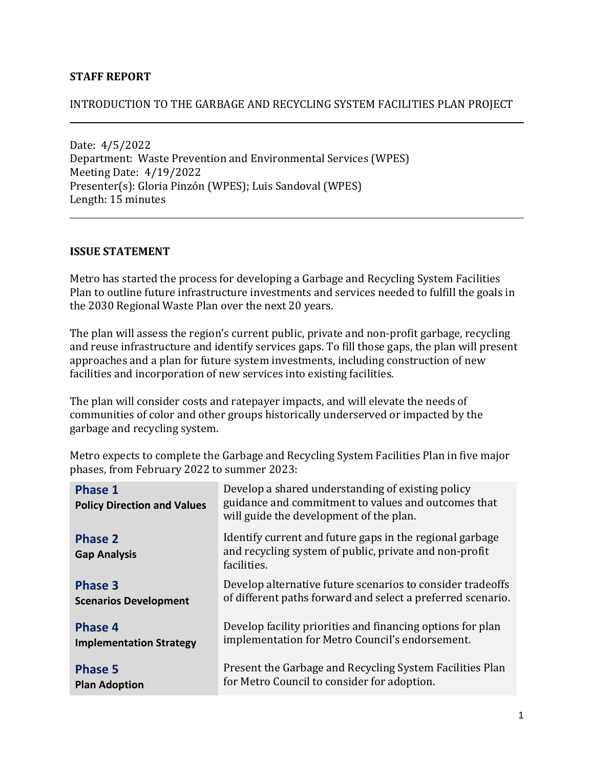### **STAFF REPORT**

#### INTRODUCTION TO THE GARBAGE AND RECYCLING SYSTEM FACILITIES PLAN PROJECT

Date: 4/5/2022 Department: Waste Prevention and Environmental Services (WPES) Meeting Date: 4/19/2022 Presenter(s): Gloria Pinzón (WPES); Luis Sandoval (WPES) Length: 15 minutes

#### **ISSUE STATEMENT**

Metro has started the process for developing a Garbage and Recycling System Facilities Plan to outline future infrastructure investments and services needed to fulfill the goals in the 2030 Regional Waste Plan over the next 20 years.

The plan will assess the region's current public, private and non-profit garbage, recycling and reuse infrastructure and identify services gaps. To fill those gaps, the plan will present approaches and a plan for future system investments, including construction of new facilities and incorporation of new services into existing facilities.

The plan will consider costs and ratepayer impacts, and will elevate the needs of communities of color and other groups historically underserved or impacted by the garbage and recycling system.

Metro expects to complete the Garbage and Recycling System Facilities Plan in five major phases, from February 2022 to summer 2023:

| <b>Phase 1</b><br><b>Policy Direction and Values</b> | Develop a shared understanding of existing policy<br>guidance and commitment to values and outcomes that<br>will guide the development of the plan. |
|------------------------------------------------------|-----------------------------------------------------------------------------------------------------------------------------------------------------|
| <b>Phase 2</b><br><b>Gap Analysis</b>                | Identify current and future gaps in the regional garbage<br>and recycling system of public, private and non-profit<br>facilities.                   |
| Phase 3                                              | Develop alternative future scenarios to consider tradeoffs                                                                                          |
| <b>Scenarios Development</b>                         | of different paths forward and select a preferred scenario.                                                                                         |
| Phase 4                                              | Develop facility priorities and financing options for plan                                                                                          |
| <b>Implementation Strategy</b>                       | implementation for Metro Council's endorsement.                                                                                                     |
| <b>Phase 5</b>                                       | Present the Garbage and Recycling System Facilities Plan                                                                                            |
| <b>Plan Adoption</b>                                 | for Metro Council to consider for adoption.                                                                                                         |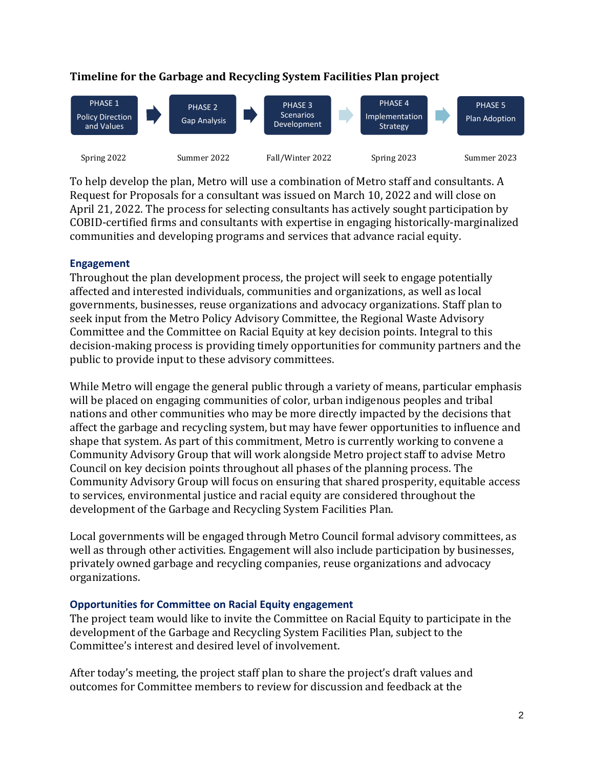

## **Timeline for the Garbage and Recycling System Facilities Plan project**

To help develop the plan, Metro will use a combination of Metro staff and consultants. A Request for Proposals for a consultant was issued on March 10, 2022 and will close on April 21, 2022. The process for selecting consultants has actively sought participation by COBID-certified firms and consultants with expertise in engaging historically-marginalized communities and developing programs and services that advance racial equity.

#### **Engagement**

Throughout the plan development process, the project will seek to engage potentially affected and interested individuals, communities and organizations, as well as local governments, businesses, reuse organizations and advocacy organizations. Staff plan to seek input from the Metro Policy Advisory Committee, the Regional Waste Advisory Committee and the Committee on Racial Equity at key decision points. Integral to this decision-making process is providing timely opportunities for community partners and the public to provide input to these advisory committees.

While Metro will engage the general public through a variety of means, particular emphasis will be placed on engaging communities of color, urban indigenous peoples and tribal nations and other communities who may be more directly impacted by the decisions that affect the garbage and recycling system, but may have fewer opportunities to influence and shape that system. As part of this commitment, Metro is currently working to convene a Community Advisory Group that will work alongside Metro project staff to advise Metro Council on key decision points throughout all phases of the planning process. The Community Advisory Group will focus on ensuring that shared prosperity, equitable access to services, environmental justice and racial equity are considered throughout the development of the Garbage and Recycling System Facilities Plan.

Local governments will be engaged through Metro Council formal advisory committees, as well as through other activities. Engagement will also include participation by businesses, privately owned garbage and recycling companies, reuse organizations and advocacy organizations.

### **Opportunities for Committee on Racial Equity engagement**

The project team would like to invite the Committee on Racial Equity to participate in the development of the Garbage and Recycling System Facilities Plan, subject to the Committee's interest and desired level of involvement.

After today's meeting, the project staff plan to share the project's draft values and outcomes for Committee members to review for discussion and feedback at the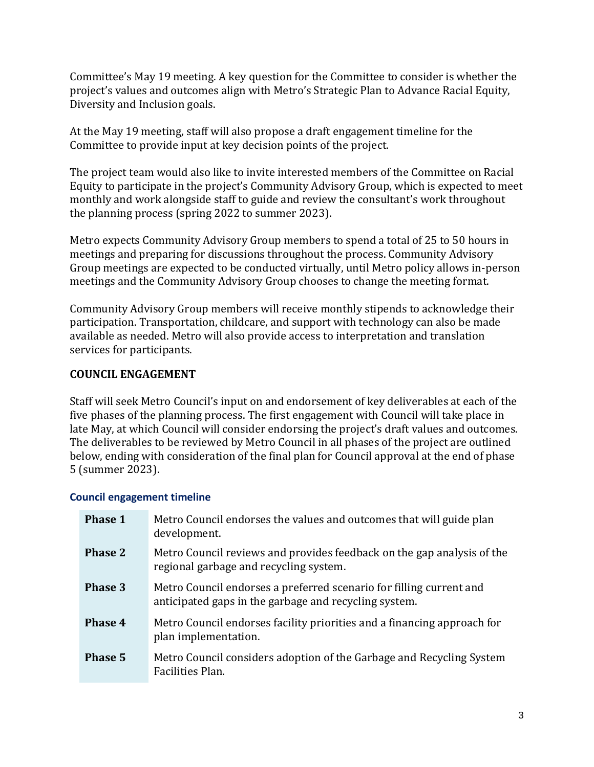Committee's May 19 meeting. A key question for the Committee to consider is whether the project's values and outcomes align with Metro's Strategic Plan to Advance Racial Equity, Diversity and Inclusion goals.

At the May 19 meeting, staff will also propose a draft engagement timeline for the Committee to provide input at key decision points of the project.

The project team would also like to invite interested members of the Committee on Racial Equity to participate in the project's Community Advisory Group, which is expected to meet monthly and work alongside staff to guide and review the consultant's work throughout the planning process (spring 2022 to summer 2023).

Metro expects Community Advisory Group members to spend a total of 25 to 50 hours in meetings and preparing for discussions throughout the process. Community Advisory Group meetings are expected to be conducted virtually, until Metro policy allows in-person meetings and the Community Advisory Group chooses to change the meeting format.

Community Advisory Group members will receive monthly stipends to acknowledge their participation. Transportation, childcare, and support with technology can also be made available as needed. Metro will also provide access to interpretation and translation services for participants.

## **COUNCIL ENGAGEMENT**

Staff will seek Metro Council's input on and endorsement of key deliverables at each of the five phases of the planning process. The first engagement with Council will take place in late May, at which Council will consider endorsing the project's draft values and outcomes. The deliverables to be reviewed by Metro Council in all phases of the project are outlined below, ending with consideration of the final plan for Council approval at the end of phase 5 (summer 2023).

### **Council engagement timeline**

| <b>Phase 1</b> | Metro Council endorses the values and outcomes that will guide plan<br>development.                                          |
|----------------|------------------------------------------------------------------------------------------------------------------------------|
| <b>Phase 2</b> | Metro Council reviews and provides feedback on the gap analysis of the<br>regional garbage and recycling system.             |
| Phase 3        | Metro Council endorses a preferred scenario for filling current and<br>anticipated gaps in the garbage and recycling system. |
| Phase 4        | Metro Council endorses facility priorities and a financing approach for<br>plan implementation.                              |
| Phase 5        | Metro Council considers adoption of the Garbage and Recycling System<br>Facilities Plan.                                     |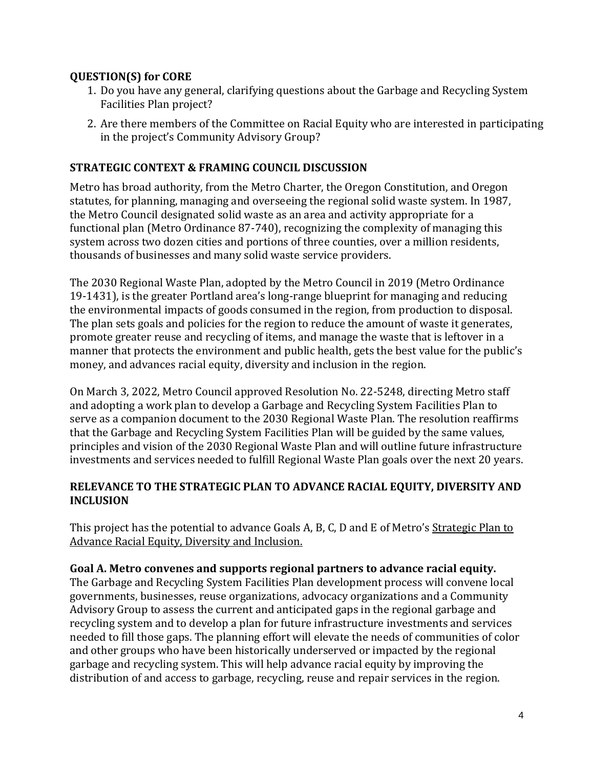## **QUESTION(S) for CORE**

- 1. Do you have any general, clarifying questions about the Garbage and Recycling System Facilities Plan project?
- 2. Are there members of the Committee on Racial Equity who are interested in participating in the project's Community Advisory Group?

## **STRATEGIC CONTEXT & FRAMING COUNCIL DISCUSSION**

Metro has broad authority, from the Metro Charter, the Oregon Constitution, and Oregon statutes, for planning, managing and overseeing the regional solid waste system. In 1987, the Metro Council designated solid waste as an area and activity appropriate for a functional plan (Metro Ordinance 87-740), recognizing the complexity of managing this system across two dozen cities and portions of three counties, over a million residents, thousands of businesses and many solid waste service providers.

The 2030 Regional Waste Plan, adopted by the Metro Council in 2019 (Metro Ordinance 19-1431), is the greater Portland area's long-range blueprint for managing and reducing the environmental impacts of goods consumed in the region, from production to disposal. The plan sets goals and policies for the region to reduce the amount of waste it generates, promote greater reuse and recycling of items, and manage the waste that is leftover in a manner that protects the environment and public health, gets the best value for the public's money, and advances racial equity, diversity and inclusion in the region.

On March 3, 2022, Metro Council approved Resolution No. 22-5248, directing Metro staff and adopting a work plan to develop a Garbage and Recycling System Facilities Plan to serve as a companion document to the 2030 Regional Waste Plan. The resolution reaffirms that the Garbage and Recycling System Facilities Plan will be guided by the same values, principles and vision of the 2030 Regional Waste Plan and will outline future infrastructure investments and services needed to fulfill Regional Waste Plan goals over the next 20 years.

## **RELEVANCE TO THE STRATEGIC PLAN TO ADVANCE RACIAL EQUITY, DIVERSITY AND INCLUSION**

This project has the potential to advance Goals A, B, C, D and E of Metro's [Strategic Plan to](https://www.oregonmetro.gov/sites/default/files/2016/11/15/Strategic-plan-advance-racial-equity-diversity-inclusion-exec-summary-17063-20160613.pdf)  [Advance Racial Equity, Diversity and Inclusion.](https://www.oregonmetro.gov/sites/default/files/2016/11/15/Strategic-plan-advance-racial-equity-diversity-inclusion-exec-summary-17063-20160613.pdf)

### **Goal A. Metro convenes and supports regional partners to advance racial equity.**

The Garbage and Recycling System Facilities Plan development process will convene local governments, businesses, reuse organizations, advocacy organizations and a Community Advisory Group to assess the current and anticipated gaps in the regional garbage and recycling system and to develop a plan for future infrastructure investments and services needed to fill those gaps. The planning effort will elevate the needs of communities of color and other groups who have been historically underserved or impacted by the regional garbage and recycling system. This will help advance racial equity by improving the distribution of and access to garbage, recycling, reuse and repair services in the region.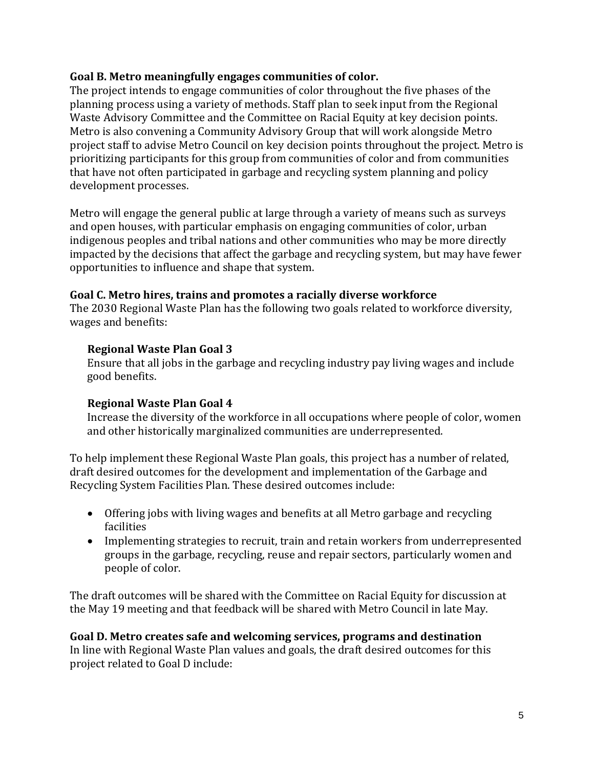## **Goal B. Metro meaningfully engages communities of color.**

The project intends to engage communities of color throughout the five phases of the planning process using a variety of methods. Staff plan to seek input from the Regional Waste Advisory Committee and the Committee on Racial Equity at key decision points. Metro is also convening a Community Advisory Group that will work alongside Metro project staff to advise Metro Council on key decision points throughout the project. Metro is prioritizing participants for this group from communities of color and from communities that have not often participated in garbage and recycling system planning and policy development processes.

Metro will engage the general public at large through a variety of means such as surveys and open houses, with particular emphasis on engaging communities of color, urban indigenous peoples and tribal nations and other communities who may be more directly impacted by the decisions that affect the garbage and recycling system, but may have fewer opportunities to influence and shape that system.

# **Goal C. Metro hires, trains and promotes a racially diverse workforce**

The 2030 Regional Waste Plan has the following two goals related to workforce diversity, wages and benefits:

## **Regional Waste Plan Goal 3**

Ensure that all jobs in the garbage and recycling industry pay living wages and include good benefits.

# **Regional Waste Plan Goal 4**

Increase the diversity of the workforce in all occupations where people of color, women and other historically marginalized communities are underrepresented.

To help implement these Regional Waste Plan goals, this project has a number of related, draft desired outcomes for the development and implementation of the Garbage and Recycling System Facilities Plan. These desired outcomes include:

- Offering jobs with living wages and benefits at all Metro garbage and recycling facilities
- Implementing strategies to recruit, train and retain workers from underrepresented groups in the garbage, recycling, reuse and repair sectors, particularly women and people of color.

The draft outcomes will be shared with the Committee on Racial Equity for discussion at the May 19 meeting and that feedback will be shared with Metro Council in late May.

## **Goal D. Metro creates safe and welcoming services, programs and destination** In line with Regional Waste Plan values and goals, the draft desired outcomes for this project related to Goal D include: